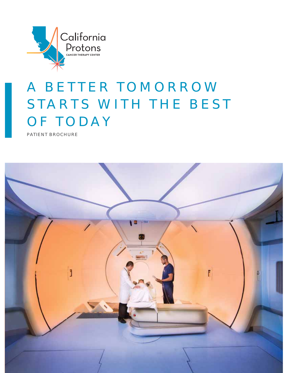

## A BETTER TOMORROW STARTS WITH THE BEST OF TODAY

PATIENT BROCHURE

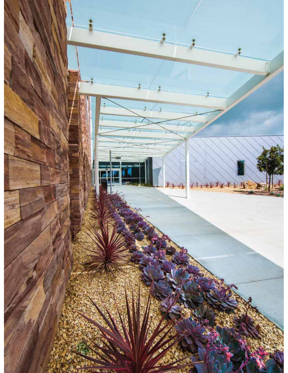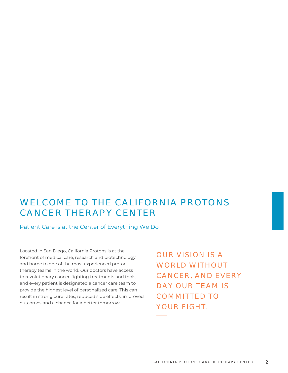### WELCOME TO THE CALIFORNIA PROTONS CANCER THERAPY CENTER

Patient Care is at the Center of Everything We Do

Located in San Diego, California Protons is at the forefront of medical care, research and biotechnology, and home to one of the most experienced proton therapy teams in the world. Our doctors have access to revolutionary cancer-fighting treatments and tools, and every patient is designated a cancer care team to provide the highest level of personalized care. This can result in strong cure rates, reduced side effects, improved outcomes and a chance for a better tomorrow.

OUR VISION IS A WORLD WITHOUT CANCER, AND EVERY DAY OUR TEAM IS COMMITTED TO YOUR FIGHT.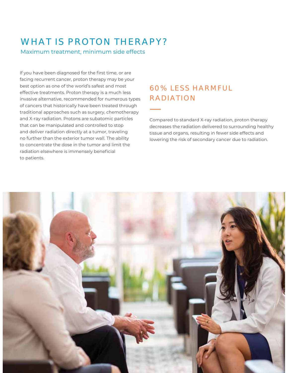## WHAT IS PROTON THERAPY?

Maximum treatment, minimum side effects

If you have been diagnosed for the first time, or are facing recurrent cancer, proton therapy may be your best option as one of the world's safest and most effective treatments. Proton therapy is a much less invasive alternative, recommended for numerous types of cancers that historically have been treated through traditional approaches such as surgery, chemotherapy and X-ray radiation. Protons are subatomic particles that can be manipulated and controlled to stop and deliver radiation directly at a tumor, traveling no further than the exterior tumor wall. The ability to concentrate the dose in the tumor and limit the radiation elsewhere is immensely beneficial to patients.

### 60% LESS HARMFUL RADIATION

Compared to standard X-ray radiation, proton therapy decreases the radiation delivered to surrounding healthy tissue and organs, resulting in fewer side effects and lowering the risk of secondary cancer due to radiation.

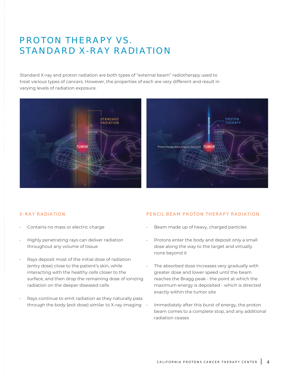### PROTON THERAPY VS. STANDARD X-RAY RADIATION

Standard X-ray and proton radiation are both types of "external beam" radiotherapy used to treat various types of cancers. However, the properties of each are very different and result in varying levels of radiation exposure.



#### X-RAY RADIATION

- Contains no mass or electric charge
- Highly penetrating rays can deliver radiation throughout any volume of tissue •
- Rays deposit most of the initial dose of radiation (entry dose) close to the patient's skin, while interacting with the healthy cells closer to the surface, and then drop the remaining dose of ionizing radiation on the deeper diseased cells •
- Rays continue to emit radiation as they naturally pass through the body (exit dose) similar to X-ray imaging • •

#### PENCIL BEAM PROTON THERAPY RADIATION

- Beam made up of heavy, charged particles •
- Protons enter the body and deposit only a small dose along the way to the target and virtually none beyond it •
- The absorbed dose increases very gradually with greater dose and lower speed until the beam reaches the Bragg peak - the point at which the maximum energy is deposited - which is directed exactly within the tumor site •
- Immediately after this burst of energy, the proton beam comes to a complete stop, and any additional radiation ceases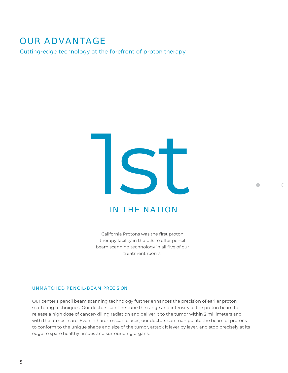### OUR ADVANTAGE

Cutting-edge technology at the forefront of proton therapy



### IN THE NATION

California Protons was the first proton therapy facility in the U.S. to offer pencil beam scanning technology in all five of our treatment rooms.

#### UNMATCHED PENCIL-BEAM PRECISION

Our center's pencil beam scanning technology further enhances the precision of earlier proton scattering techniques. Our doctors can fine-tune the range and intensity of the proton beam to release a high dose of cancer-killing radiation and deliver it to the tumor within 2 millimeters and with the utmost care. Even in hard-to-scan places, our doctors can manipulate the beam of protons to conform to the unique shape and size of the tumor, attack it layer by layer, and stop precisely at its edge to spare healthy tissues and surrounding organs.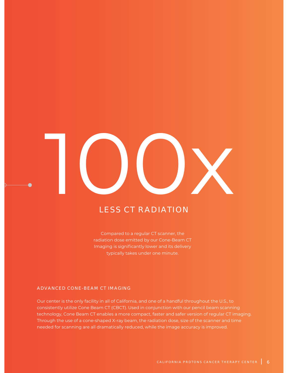

### LESS CT RADIATION

Compared to a regular CT scanner, the radiation dose emitted by our Cone-Beam CT Imaging is significantly lower and its delivery typically takes under one minute.

#### ADVANCED CONE-BEAM CT IMAGING

Our center is the only facility in all of California, and one of a handful throughout the U.S., to consistently utilize Cone Beam CT (CBCT). Used in conjunction with our pencil beam scanning technology, Cone Beam CT enables a more compact, faster and safer version of regular CT imaging. Through the use of a cone-shaped X-ray beam, the radiation dose, size of the scanner and time needed for scanning are all dramatically reduced, while the image accuracy is improved.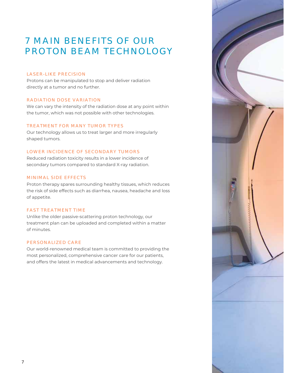### 7 MAIN BENEFITS OF OUR PROTON BEAM TECHNOLOGY

#### LASER-LIKE PRECISION

Protons can be manipulated to stop and deliver radiation directly at a tumor and no further.

#### RADIATION DOSE VARIATION

We can vary the intensity of the radiation dose at any point within the tumor, which was not possible with other technologies.

#### TREATMENT FOR MANY TUMOR TYPES

Our technology allows us to treat larger and more irregularly shaped tumors.

#### LOWER INCIDENCE OF SECONDARY TUMORS

Reduced radiation toxicity results in a lower incidence of secondary tumors compared to standard X-ray radiation.

#### MINIMAL SIDE EFFECTS

Proton therapy spares surrounding healthy tissues, which reduces the risk of side effects such as diarrhea, nausea, headache and loss of appetite.

#### FAST TREATMENT TIME

Unlike the older passive-scattering proton technology, our treatment plan can be uploaded and completed within a matter of minutes.

#### PERSONALIZED CARE

Our world-renowned medical team is committed to providing the most personalized, comprehensive cancer care for our patients, and offers the latest in medical advancements and technology.

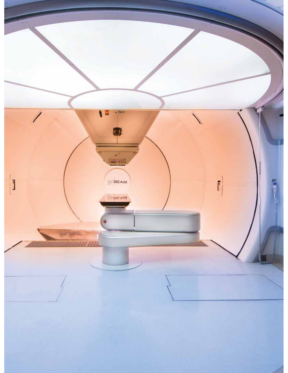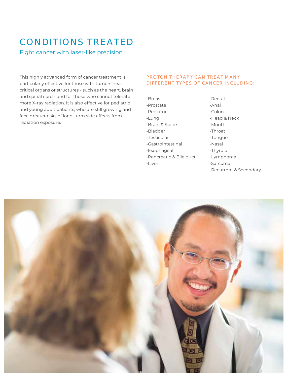### CONDITIONS TREATED

Fight cancer with laser-like precision

This highly advanced form of cancer treatment is particularly effective for those with tumors near critical organs or structures - such as the heart, brain and spinal cord - and for those who cannot tolerate more X-ray radiation. It is also effective for pediatric and young adult patients, who are still growing and face greater risks of long-term side effects from radiation exposure.

#### PROTON THERAPY CAN TREAT MANY DIFFERENT TYPES OF CANCER INCLUDING:

-Breast -Prostate -Pediatric -Lung -Brain & Spine -Bladder -Testicular -Gastrointestinal -Esophageal -Pancreatic & Bile duct -Liver

-Rectal -Anal -Colon -Head & Neck -Mouth -Throat -Tongue -Nasal -Thyroid -Lymphoma -Sarcoma -Recurrent & Secondary

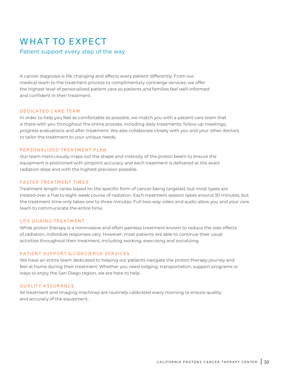### WHAT TO EXPECT

### Patient support every step of the way

A cancer diagnosis is life changing and affects every patient differently. From our medical team to the treatment process to complimentary concierge services, we offer the highest level of personalized patient care so patients and families feel well-informed and confident in their treatment.

#### DEDICATED CARE TEAM

In order to help you feel as comfortable as possible, we match you with a patient care team that is there with you throughout the entire process, including daily treatments, follow-up meetings, progress evaluations and after treatment. We also collaborate closely with you and your other doctors to tailor the treatment to your unique needs.

#### PERSONALIZED TREATMENT PLAN

Our team meticulously maps out the shape and intensity of the proton beam to ensure the equipment is positioned with pinpoint accuracy and each treatment is delivered at the exact radiation dose and with the highest precision possible.

#### FASTER TREATMENT TIMES

Treatment length varies based on the specific form of cancer being targeted, but most types are treated over a five to eight week course of radiation. Each treatment session takes around 30 minutes, but the treatment time only takes one to three minutes. Full two-way video and audio allow you and your care team to communicate the entire time.

#### LIFE DURING TREATMENT

While proton therapy is a noninvasive and often painless treatment known to reduce the side effects of radiation, individual responses vary. However, most patients are able to continue their usual activities throughout their treatment, including working, exercising and socializing.

#### PATIENT SUPPORT & CONCIERGE SERVICES

We have an entire team dedicated to helping our patients navigate the proton therapy journey and feel at home during their treatment. Whether you need lodging, transportation, support programs or ways to enjoy the San Diego region, we are here to help.

#### QUALITY ASSURANCE

All treatment and imaging machines are routinely calibrated every morning to ensure quality and accuracy of the equipment.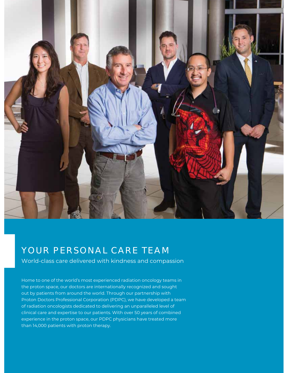![](_page_11_Picture_0.jpeg)

### YOUR PERSONAL CARE TEAM

World-class care delivered with kindness and compassion

Home to one of the world's most experienced radiation oncology teams in the proton space, our doctors are internationally recognized and sought out by patients from around the world. Through our partnership with Proton Doctors Professional Corporation (PDPC), we have developed a team of radiation oncologists dedicated to delivering an unparalleled level of clinical care and expertise to our patients. With over 50 years of combined experience in the proton space, our PDPC physicians have treated more than 14,000 patients with proton therapy.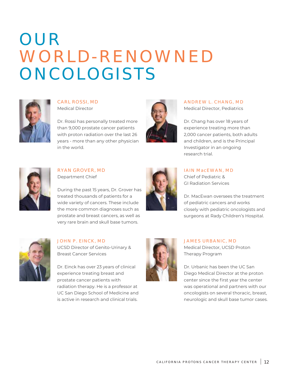# OUR WORLD-RENOWNED **ONCOLOGISTS**

![](_page_12_Picture_1.jpeg)

CARL ROSSI, MD Medical Director

Dr. Rossi has personally treated more than 9,000 prostate cancer patients with proton radiation over the last 26 years - more than any other physician in the world.

![](_page_12_Picture_4.jpeg)

ANDREW L. CHANG, MD Medical Director, Pediatrics

Dr. Chang has over 18 years of experience treating more than 2,000 cancer patients, both adults and children, and is the Principal Investigator in an ongoing research trial.

![](_page_12_Picture_7.jpeg)

RYAN GROVER, MD Department Chief

During the past 15 years, Dr. Grover has treated thousands of patients for a wide variety of cancers. These include the more common diagnoses such as prostate and breast cancers, as well as very rare brain and skull base tumors.

![](_page_12_Picture_10.jpeg)

IAIN MacEWAN, MD Chief of Pediatric & GI Radiation Services

Dr. MacEwan oversees the treatment of pediatric cancers and works closely with pediatric oncologists and surgeons at Rady Children's Hospital.

![](_page_12_Picture_13.jpeg)

JOHN P. EINCK, MD UCSD Director of Genito-Urinary & Breast Cancer Services

Dr. Einck has over 23 years of clinical experience treating breast and prostate cancer patients with radiation therapy. He is a professor at UC San Diego School of Medicine and is active in research and clinical trials.

![](_page_12_Picture_16.jpeg)

JAMES URBANIC, MD Medical Director, UCSD Proton Therapy Program

Dr. Urbanic has been the UC San Diego Medical Director at the proton center since the first year the center was operational and partners with our oncologists on several thoracic, breast, neurologic and skull base tumor cases.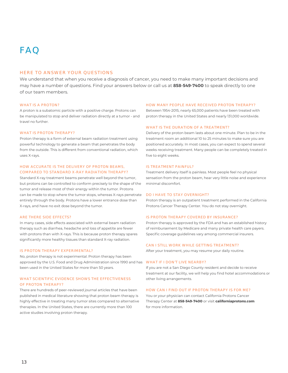### **FAQ**

#### HERE TO ANSWER YOUR QUESTIONS

We understand that when you receive a diagnosis of cancer, you need to make many important decisions and may have a number of questions. Find your answers below or call us at **858-549-7400** to speak directly to one of our team members.

#### WHAT IS A PROTON?

A proton is a subatomic particle with a positive charge. Protons can be manipulated to stop and deliver radiation directly at a tumor - and travel no further.

#### WHAT IS PROTON THERAPY?

Proton therapy is a form of external beam radiation treatment using powerful technology to generate a beam that penetrates the body from the outside. This is different from conventional radiation, which uses X-rays.

#### HOW ACCURATE IS THE DELIVERY OF PROTON BEAMS, COMPARED TO STANDARD X-RAY RADIATION THERAPY?

Standard X-ray treatment beams penetrate well beyond the tumor, but protons can be controlled to conform precisely to the shape of the tumor and release most of their energy within the tumor. Protons can be made to stop where the tumor stops, whereas X-rays penetrate entirely through the body. Protons have a lower entrance dose than X-rays, and have no exit dose beyond the tumor.

#### ARE THERE SIDE EFFECTS?

In many cases, side effects associated with external beam radiation therapy such as diarrhea, headache and loss of appetite are fewer with protons than with X-rays. This is because proton therapy spares significantly more healthy tissues than standard X-ray radiation.

#### IS PROTON THERAPY EXPERIMENTAL?

No, proton therapy is not experimental. Proton therapy has been approved by the U.S. Food and Drug Administration since 1990 and has **WHAT IF I DON'T LIVE NEARBY?** been used in the United States for more than 50 years.

#### WHAT SCIENTIFIC EVIDENCE SHOWS THE EFFECTIVENESS OF PROTON THERAPY?

There are hundreds of peer-reviewed journal articles that have been published in medical literature showing that proton beam therapy is highly effective in treating many tumor sites compared to alternative therapies. In the United States, there are currently more than 100 active studies involving proton therapy.

#### HOW MANY PEOPLE HAVE RECEIVED PROTON THERAPY?

Between 1954-2015, nearly 65,000 patients have been treated with proton therapy in the United States and nearly 131,000 worldwide.

#### WHAT IS THE DURATION OF A TREATMENT?

Delivery of the proton beam lasts about one minute. Plan to be in the treatment room an additional 10 to 25 minutes to make sure you are positioned accurately. In most cases, you can expect to spend several weeks receiving treatment. Many people can be completely treated in five to eight weeks.

#### IS TREATMENT PAINFUL?

Treatment delivery itself is painless. Most people feel no physical sensation from the proton beam, hear very little noise and experience minimal discomfort.

#### DO I HAVE TO STAY OVERNIGHT?

Proton therapy is an outpatient treatment performed in the California Protons Cancer Therapy Center. You do not stay overnight.

#### IS PROTON THERAPY COVERED BY INSURANCE?

Proton therapy is approved by the FDA and has an established history of reimbursement by Medicare and many private health care payers. Specific coverage guidelines vary among commercial insurers.

#### CAN I STILL WORK WHILE GETTING TREATMENT?

After your treatment, you may resume your daily routine.

If you are not a San Diego County resident and decide to receive treatment at our facility, we will help you find hotel accommodations or other living arrangements.

#### HOW CAN I FIND OUT IF PROTON THERAPY IS FOR ME?

You or your physician can contact California Protons Cancer Therapy Center at **858-549-7400** or visit **californiaprotons.com** for more information.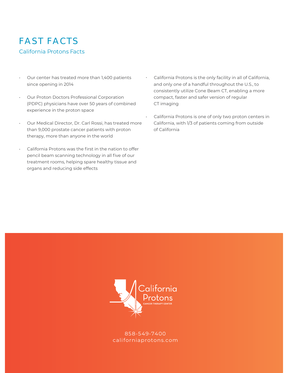### FAST FACTS California Protons Facts

- Our center has treated more than 1,400 patients since opening in 2014
- Our Proton Doctors Professional Corporation (PDPC) physicians have over 50 years of combined experience in the proton space
- Our Medical Director, Dr. Carl Rossi, has treated more than 9,000 prostate cancer patients with proton therapy, more than anyone in the world
- California Protons was the first in the nation to offer pencil beam scanning technology in all five of our treatment rooms, helping spare healthy tissue and organs and reducing side effects
- California Protons is the only facility in all of California, and only one of a handful throughout the U.S., to consistently utilize Cone Beam CT, enabling a more compact, faster and safer version of regular CT imaging
- California Protons is one of only two proton centers in California, with 1/3 of patients coming from outside of California

![](_page_14_Picture_7.jpeg)

858-549-7400 californiaprotons.com